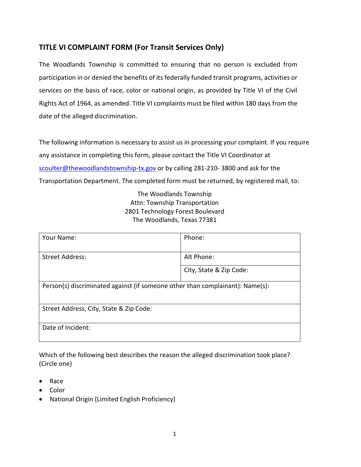## **TITLE VI COMPLAINT FORM (For Transit Services Only)**

The Woodlands Township is committed to ensuring that no person is excluded from participation in or denied the benefits of its federally funded transit programs, activities or services on the basis of race, color or national origin, as provided by Title VI of the Civil Rights Act of 1964, as amended. Title VI complaints must be filed within 180 days from the date of the alleged discrimination.

The following information is necessary to assist us in processing your complaint. If you require any assistance in completing this form, please contact the Title VI Coordinator at [scoulter@thewoodlandstownship-tx.gov](mailto:scoulter@thewoodlandstownship-tx.gov) or by calling 281-210-3800 and ask for the Transportation Department. The completed form must be returned, by registered mail, to:

> The Woodlands Township Attn: Township Transportation 2801 Technology Forest Boulevard The Woodlands, Texas 77381

| Your Name:                                                                    | Phone:                  |  |
|-------------------------------------------------------------------------------|-------------------------|--|
| <b>Street Address:</b>                                                        | Alt Phone:              |  |
|                                                                               | City, State & Zip Code: |  |
| Person(s) discriminated against (if someone other than complainant): Name(s): |                         |  |
| Street Address, City, State & Zip Code:                                       |                         |  |
| Date of Incident:                                                             |                         |  |

Which of the following best describes the reason the alleged discrimination took place? (Circle one)

- Race
- Color
- National Origin (Limited English Proficiency)